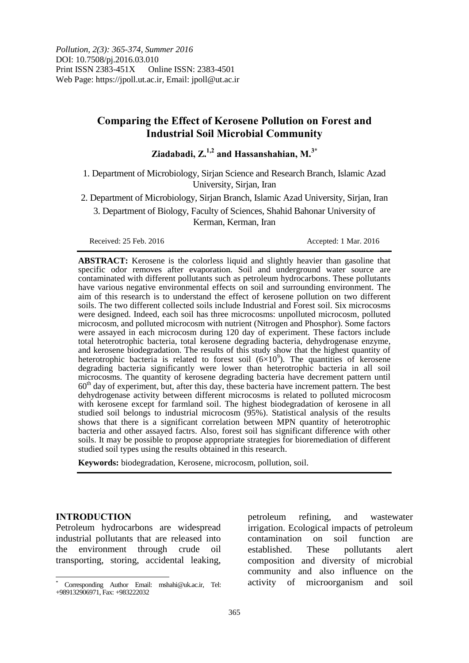# **Comparing the Effect of Kerosene Pollution on Forest and Industrial Soil Microbial Community**

**Ziadabadi, Z.1,2 and Hassanshahian, M.3\***

1. Department of Microbiology, Sirjan Science and Research Branch, Islamic Azad University, Sirjan, Iran

2. Department of Microbiology, Sirjan Branch, Islamic Azad University, Sirjan, Iran

3. Department of Biology, Faculty of Sciences, Shahid Bahonar University of Kerman, Kerman, Iran

Received: 25 Feb. 2016 **Accepted: 1 Mar. 2016** Accepted: 1 Mar. 2016

**ABSTRACT:** Kerosene is the colorless liquid and slightly heavier than gasoline that specific odor removes after evaporation. Soil and underground water source are contaminated with different pollutants such as petroleum hydrocarbons. These pollutants have various negative environmental effects on soil and surrounding environment. The aim of this research is to understand the effect of kerosene pollution on two different soils. The two different collected soils include Industrial and Forest soil. Six microcosms were designed. Indeed, each soil has three microcosms: unpolluted microcosm, polluted microcosm, and polluted microcosm with nutrient (Nitrogen and Phosphor). Some factors were assayed in each microcosm during 120 day of experiment. These factors include total heterotrophic bacteria, total kerosene degrading bacteria, dehydrogenase enzyme, and kerosene biodegradation. The results of this study show that the highest quantity of heterotrophic bacteria is related to forest soil  $(6\times10^9)$ . The quantities of kerosene degrading bacteria significantly were lower than heterotrophic bacteria in all soil microcosms. The quantity of kerosene degrading bacteria have decrement pattern until  $60<sup>th</sup>$  day of experiment, but, after this day, these bacteria have increment pattern. The best dehydrogenase activity between different microcosms is related to polluted microcosm with kerosene except for farmland soil. The highest biodegradation of kerosene in all studied soil belongs to industrial microcosm (95%). Statistical analysis of the results shows that there is a significant correlation between MPN quantity of heterotrophic bacteria and other assayed factrs. Also, forest soil has significant difference with other soils. It may be possible to propose appropriate strategies for bioremediation of different studied soil types using the results obtained in this research.

**Keywords:** biodegradation, Kerosene, microcosm, pollution, soil.

## **INTRODUCTION**

Petroleum hydrocarbons are widespread industrial pollutants that are released into the environment through crude oil transporting, storing, accidental leaking,

petroleum refining, and wastewater irrigation. Ecological impacts of petroleum contamination on soil function are established. These pollutants alert composition and diversity of microbial community and also influence on the activity of microorganism and soil

 $\overline{a}$ \* Corresponding Author Email: mshahi@uk.ac.ir, Tel: +989132906971, Fax: +983222032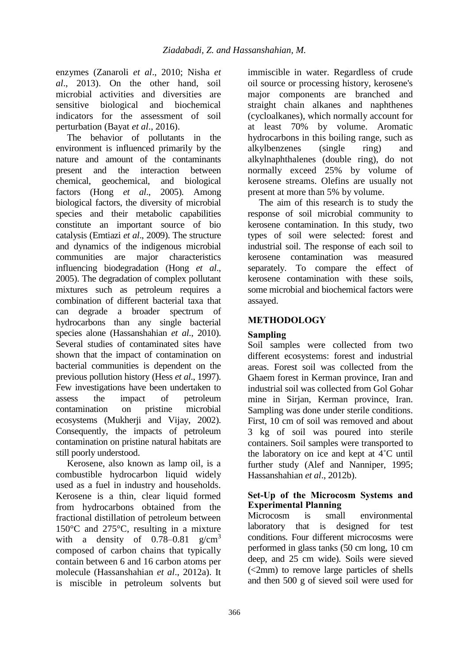enzymes (Zanaroli *et al*., 2010; Nisha *et al*., 2013). On the other hand, soil microbial activities and diversities are sensitive biological and biochemical indicators for the assessment of soil perturbation (Bayat *et al*., 2016).

The behavior of pollutants in the environment is influenced primarily by the nature and amount of the contaminants present and the interaction between chemical, geochemical, and biological factors (Hong *et al*., 2005). Among biological factors, the diversity of microbial species and their metabolic capabilities constitute an important source of bio catalysis (Emtiazi *et al*., 2009). The structure and dynamics of the indigenous microbial communities are major characteristics influencing biodegradation (Hong *et al*., 2005). The degradation of complex pollutant mixtures such as petroleum requires a combination of different bacterial taxa that can degrade a broader spectrum of hydrocarbons than any single bacterial species alone (Hassanshahian *et al*., 2010). Several studies of contaminated sites have shown that the impact of contamination on bacterial communities is dependent on the previous pollution history (Hess *et al*., 1997). Few investigations have been undertaken to assess the impact of petroleum contamination on pristine microbial ecosystems (Mukherji and Vijay, 2002). Consequently, the impacts of petroleum contamination on pristine natural habitats are still poorly understood.

Kerosene, also known as lamp oil, is a combustible hydrocarbon liquid widely used as a fuel in industry and households. Kerosene is a thin, clear liquid formed from hydrocarbons obtained from the fractional distillation of petroleum between 150°C and 275°C, resulting in a mixture with a density of  $0.78-0.81$  g/cm<sup>3</sup> composed of carbon chains that typically contain between 6 and 16 carbon atoms per molecule (Hassanshahian *et al*., 2012a). It is miscible in petroleum solvents but

immiscible in water. Regardless of crude oil source or processing history, kerosene's major components are branched and straight chain alkanes and naphthenes (cycloalkanes), which normally account for at least 70% by volume. Aromatic hydrocarbons in this boiling range, such as alkylbenzenes (single ring) and alkylnaphthalenes (double ring), do not normally exceed 25% by volume of kerosene streams. Olefins are usually not present at more than 5% by volume.

The aim of this research is to study the response of soil microbial community to kerosene contamination. In this study, two types of soil were selected: forest and industrial soil. The response of each soil to kerosene contamination was measured separately. To compare the effect of kerosene contamination with these soils, some microbial and biochemical factors were assayed.

# **METHODOLOGY**

# **Sampling**

Soil samples were collected from two different ecosystems: forest and industrial areas. Forest soil was collected from the Ghaem forest in Kerman province, Iran and industrial soil was collected from Gol Gohar mine in Sirjan, Kerman province, Iran. Sampling was done under sterile conditions. First, 10 cm of soil was removed and about 3 kg of soil was poured into sterile containers. Soil samples were transported to the laboratory on ice and kept at 4˚C until further study (Alef and Nanniper, 1995; Hassanshahian *et al*., 2012b).

# **Set-Up of the Microcosm Systems and Experimental Planning**

Microcosm is small environmental laboratory that is designed for test conditions. Four different microcosms were performed in glass tanks (50 cm long, 10 cm deep, and 25 cm wide). Soils were sieved (<2mm) to remove large particles of shells and then 500 g of sieved soil were used for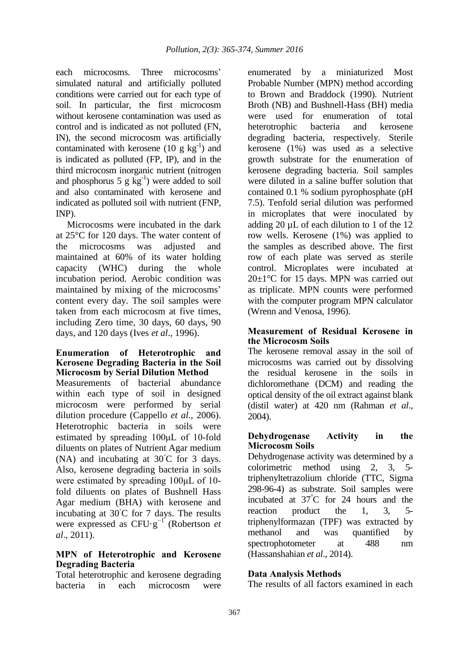each microcosms. Three microcosms' simulated natural and artificially polluted conditions were carried out for each type of soil. In particular, the first microcosm without kerosene contamination was used as control and is indicated as not polluted (FN, IN), the second microcosm was artificially contaminated with kerosene  $(10 \text{ g kg}^{-1})$  and is indicated as polluted (FP, IP), and in the third microcosm inorganic nutrient (nitrogen and phosphorus  $5 g kg^{-1}$ ) were added to soil and also contaminated with kerosene and indicated as polluted soil with nutrient (FNP, INP).

Microcosms were incubated in the dark at 25°C for 120 days. The water content of the microcosms was adjusted and maintained at 60% of its water holding capacity (WHC) during the whole incubation period. Aerobic condition was maintained by mixing of the microcosms' content every day. The soil samples were taken from each microcosm at five times, including Zero time, 30 days, 60 days, 90 days, and 120 days (Ives *et al*., 1996).

## **Enumeration of Heterotrophic and Kerosene Degrading Bacteria in the Soil Microcosm by Serial Dilution Method**

Measurements of bacterial abundance within each type of soil in designed microcosm were performed by serial dilution procedure (Cappello *et al*., 2006). Heterotrophic bacteria in soils were estimated by spreading 100μL of 10-fold diluents on plates of Nutrient Agar medium (NA) and incubating at  $30^{\circ}$ C for 3 days. Also, kerosene degrading bacteria in soils were estimated by spreading 100μL of 10 fold diluents on plates of Bushnell Hass Agar medium (BHA) with kerosene and incubating at 30◦C for 7 days. The results were expressed as CFU·g−1 (Robertson *et al*., 2011).

# **MPN of Heterotrophic and Kerosene Degrading Bacteria**

Total heterotrophic and kerosene degrading bacteria in each microcosm were enumerated by a miniaturized Most Probable Number (MPN) method according to Brown and Braddock (1990). Nutrient Broth (NB) and Bushnell-Hass (BH) media were used for enumeration of total heterotrophic bacteria and kerosene degrading bacteria, respectively. Sterile kerosene (1%) was used as a selective growth substrate for the enumeration of kerosene degrading bacteria. Soil samples were diluted in a saline buffer solution that contained 0.1 % sodium pyrophosphate (pH 7.5). Tenfold serial dilution was performed in microplates that were inoculated by adding 20 µL of each dilution to 1 of the 12 row wells. Kerosene (1%) was applied to the samples as described above. The first row of each plate was served as sterile control. Microplates were incubated at  $20 \pm 1$ °C for 15 days. MPN was carried out as triplicate. MPN counts were performed with the computer program MPN calculator (Wrenn and Venosa, 1996).

# **Measurement of Residual Kerosene in the Microcosm Soils**

The kerosene removal assay in the soil of microcosms was carried out by dissolving the residual kerosene in the soils in dichloromethane (DCM) and reading the optical density of the oil extract against blank (distil water) at 420 nm (Rahman *et al*., 2004).

# **Dehydrogenase Activity in the Microcosm Soils**

Dehydrogenase activity was determined by a colorimetric method using 2, 3, 5 triphenyltetrazolium chloride (TTC, Sigma 298-96-4) as substrate. Soil samples were incubated at 37°C for 24 hours and the reaction product the 1, 3, 5 triphenylformazan (TPF) was extracted by methanol and was quantified by spectrophotometer at 488 nm (Hassanshahian *et al*., 2014).

# **Data Analysis Methods**

The results of all factors examined in each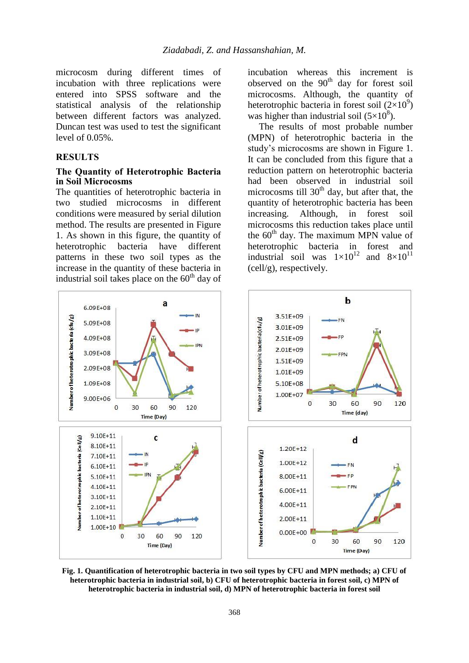microcosm during different times of incubation with three replications were entered into SPSS software and the statistical analysis of the relationship between different factors was analyzed. Duncan test was used to test the significant level of 0.05%.

#### **RESULTS**

## **The Quantity of Heterotrophic Bacteria in Soil Microcosms**

The quantities of heterotrophic bacteria in two studied microcosms in different conditions were measured by serial dilution method. The results are presented in Figure 1. As shown in this figure, the quantity of heterotrophic bacteria have different patterns in these two soil types as the increase in the quantity of these bacteria in industrial soil takes place on the  $60<sup>th</sup>$  day of incubation whereas this increment is observed on the  $90<sup>th</sup>$  day for forest soil microcosms. Although, the quantity of heterotrophic bacteria in forest soil  $(2\times10^9)$ was higher than industrial soil  $(5\times10^8)$ .

The results of most probable number (MPN) of heterotrophic bacteria in the study's microcosms are shown in Figure 1. It can be concluded from this figure that a reduction pattern on heterotrophic bacteria had been observed in industrial soil microcosms till  $30<sup>th</sup>$  day, but after that, the quantity of heterotrophic bacteria has been increasing. Although, in forest soil microcosms this reduction takes place until the  $60<sup>th</sup>$  day. The maximum MPN value of heterotrophic bacteria in forest and industrial soil was  $1 \times 10^{12}$  and  $8 \times 10^{11}$ (cell/g), respectively.



**Fig. 1. Quantification of heterotrophic bacteria in two soil types by CFU and MPN methods; a) CFU of heterotrophic bacteria in industrial soil, b) CFU of heterotrophic bacteria in forest soil, c) MPN of heterotrophic bacteria in industrial soil, d) MPN of heterotrophic bacteria in forest soil**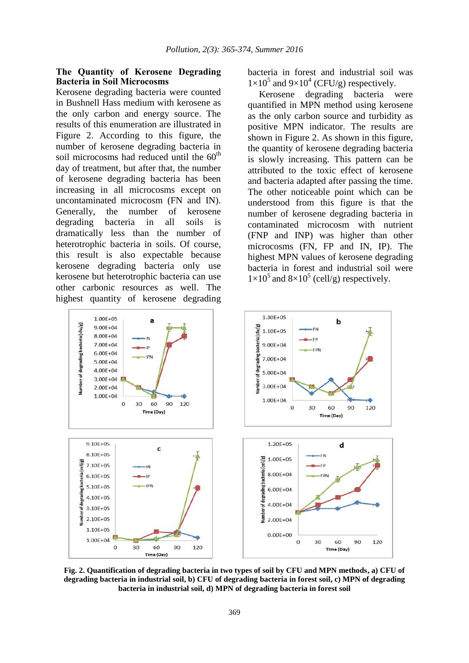## **The Quantity of Kerosene Degrading Bacteria in Soil Microcosms**

Kerosene degrading bacteria were counted in Bushnell Hass medium with kerosene as the only carbon and energy source. The results of this enumeration are illustrated in Figure 2. According to this figure, the number of kerosene degrading bacteria in soil microcosms had reduced until the  $60<sup>th</sup>$ day of treatment, but after that, the number of kerosene degrading bacteria has been increasing in all microcosms except on uncontaminated microcosm (FN and IN). Generally, the number of kerosene degrading bacteria in all soils is dramatically less than the number of heterotrophic bacteria in soils. Of course, this result is also expectable because kerosene degrading bacteria only use kerosene but heterotrophic bacteria can use other carbonic resources as well. The highest quantity of kerosene degrading

bacteria in forest and industrial soil was  $1\times10^5$  and  $9\times10^4$  (CFU/g) respectively.

Kerosene degrading bacteria were quantified in MPN method using kerosene as the only carbon source and turbidity as positive MPN indicator. The results are shown in Figure 2. As shown in this figure, the quantity of kerosene degrading bacteria is slowly increasing. This pattern can be attributed to the toxic effect of kerosene and bacteria adapted after passing the time. The other noticeable point which can be understood from this figure is that the number of kerosene degrading bacteria in contaminated microcosm with nutrient (FNP and INP) was higher than other microcosms (FN, FP and IN, IP). The highest MPN values of kerosene degrading bacteria in forest and industrial soil were  $1\times10^5$  and  $8\times10^5$  (cell/g) respectively.



**Fig. 2. Quantification of degrading bacteria in two types of soil by CFU and MPN methods, a) CFU of degrading bacteria in industrial soil, b) CFU of degrading bacteria in forest soil, c) MPN of degrading bacteria in industrial soil, d) MPN of degrading bacteria in forest soil**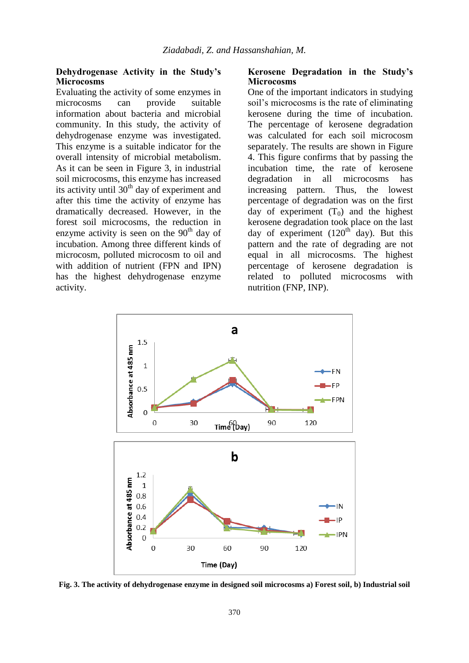## **Dehydrogenase Activity in the Study's Microcosms**

Evaluating the activity of some enzymes in microcosms can provide suitable information about bacteria and microbial community. In this study, the activity of dehydrogenase enzyme was investigated. This enzyme is a suitable indicator for the overall intensity of microbial metabolism. As it can be seen in Figure 3, in industrial soil microcosms, this enzyme has increased its activity until  $30<sup>th</sup>$  day of experiment and after this time the activity of enzyme has dramatically decreased. However, in the forest soil microcosms, the reduction in enzyme activity is seen on the  $90<sup>th</sup>$  day of incubation. Among three different kinds of microcosm, polluted microcosm to oil and with addition of nutrient (FPN and IPN) has the highest dehydrogenase enzyme activity.

## **Kerosene Degradation in the Study's Microcosms**

One of the important indicators in studying soil's microcosms is the rate of eliminating kerosene during the time of incubation. The percentage of kerosene degradation was calculated for each soil microcosm separately. The results are shown in Figure 4. This figure confirms that by passing the incubation time, the rate of kerosene degradation in all microcosms has increasing pattern. Thus, the lowest percentage of degradation was on the first day of experiment  $(T_0)$  and the highest kerosene degradation took place on the last day of experiment  $(120<sup>th</sup>$  day). But this pattern and the rate of degrading are not equal in all microcosms. The highest percentage of kerosene degradation is related to polluted microcosms with nutrition (FNP, INP).



**Fig. 3. The activity of dehydrogenase enzyme in designed soil microcosms a) Forest soil, b) Industrial soil**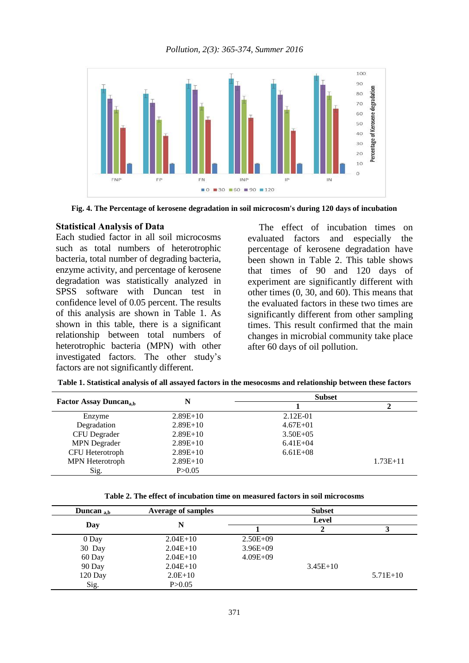

**Fig. 4. The Percentage of kerosene degradation in soil microcosm's during 120 days of incubation**

#### **Statistical Analysis of Data**

Each studied factor in all soil microcosms such as total numbers of heterotrophic bacteria, total number of degrading bacteria, enzyme activity, and percentage of kerosene degradation was statistically analyzed in SPSS software with Duncan test in confidence level of 0.05 percent. The results of this analysis are shown in Table 1. As shown in this table, there is a significant relationship between total numbers of heterotrophic bacteria (MPN) with other investigated factors. The other study's factors are not significantly different.

The effect of incubation times on evaluated factors and especially the percentage of kerosene degradation have been shown in Table 2. This table shows that times of 90 and 120 days of experiment are significantly different with other times (0, 30, and 60). This means that the evaluated factors in these two times are significantly different from other sampling times. This result confirmed that the main changes in microbial community take place after 60 days of oil pollution.

|                                          | N          | <b>Subset</b> |              |
|------------------------------------------|------------|---------------|--------------|
| <b>Factor Assay Duncan<sub>a,b</sub></b> |            |               |              |
| Enzyme                                   | $2.89E+10$ | $2.12E-01$    |              |
| Degradation                              | $2.89E+10$ | $4.67E + 01$  |              |
| <b>CFU</b> Degrader                      | $2.89E+10$ | $3.50E + 05$  |              |
| <b>MPN</b> Degrader                      | $2.89E+10$ | $6.41E + 04$  |              |
| CFU Heterotroph                          | $2.89E+10$ | $6.61E + 08$  |              |
| MPN Heterotroph                          | $2.89E+10$ |               | $1.73E + 11$ |
| Sig.                                     | P > 0.05   |               |              |

**Table 1. Statistical analysis of all assayed factors in the mesocosms and relationship between these factors**

**Table 2. The effect of incubation time on measured factors in soil microcosms**

| Duncan $_{\rm a,b}$ | <b>Average of samples</b> |              | <b>Subset</b> |            |
|---------------------|---------------------------|--------------|---------------|------------|
| Day                 | N                         | Level        |               |            |
|                     |                           |              |               |            |
| 0 Day               | $2.04E+10$                | $2.50E + 09$ |               |            |
| 30 Day              | $2.04E+10$                | $3.96E + 09$ |               |            |
| 60 Day              | $2.04E+10$                | $4.09E + 09$ |               |            |
| 90 Day              | $2.04E+10$                |              | $3.45E+10$    |            |
| 120 Day             | $2.0E+10$                 |              |               | $5.71E+10$ |
| Sig.                | P > 0.05                  |              |               |            |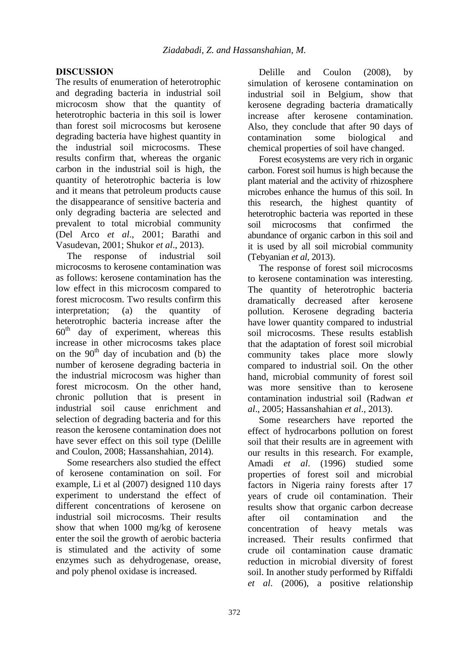# **DISCUSSION**

The results of enumeration of heterotrophic and degrading bacteria in industrial soil microcosm show that the quantity of heterotrophic bacteria in this soil is lower than forest soil microcosms but kerosene degrading bacteria have highest quantity in the industrial soil microcosms. These results confirm that, whereas the organic carbon in the industrial soil is high, the quantity of heterotrophic bacteria is low and it means that petroleum products cause the disappearance of sensitive bacteria and only degrading bacteria are selected and prevalent to total microbial community (Del Arco *et al*., 2001; Barathi and Vasudevan, 2001; Shukor *et al*., 2013).

The response of industrial soil microcosms to kerosene contamination was as follows: kerosene contamination has the low effect in this microcosm compared to forest microcosm. Two results confirm this interpretation; (a) the quantity of heterotrophic bacteria increase after the  $60<sup>th</sup>$  day of experiment, whereas this day of experiment, whereas this increase in other microcosms takes place on the  $90<sup>th</sup>$  day of incubation and (b) the number of kerosene degrading bacteria in the industrial microcosm was higher than forest microcosm. On the other hand, chronic pollution that is present in industrial soil cause enrichment and selection of degrading bacteria and for this reason the kerosene contamination does not have sever effect on this soil type (Delille and Coulon, 2008; Hassanshahian, 2014).

Some researchers also studied the effect of kerosene contamination on soil. For example, Li et al (2007) designed 110 days experiment to understand the effect of different concentrations of kerosene on industrial soil microcosms. Their results show that when 1000 mg/kg of kerosene enter the soil the growth of aerobic bacteria is stimulated and the activity of some enzymes such as dehydrogenase, orease, and poly phenol oxidase is increased.

Delille and Coulon (2008), by simulation of kerosene contamination on industrial soil in Belgium, show that kerosene degrading bacteria dramatically increase after kerosene contamination. Also, they conclude that after 90 days of contamination some biological and chemical properties of soil have changed.

Forest ecosystems are very rich in organic carbon. Forest soil humus is high because the plant material and the activity of rhizosphere microbes enhance the humus of this soil. In this research, the highest quantity of heterotrophic bacteria was reported in these soil microcosms that confirmed the abundance of organic carbon in this soil and it is used by all soil microbial community (Tebyanian *et al*, 2013).

The response of forest soil microcosms to kerosene contamination was interesting. The quantity of heterotrophic bacteria dramatically decreased after kerosene pollution. Kerosene degrading bacteria have lower quantity compared to industrial soil microcosms. These results establish that the adaptation of forest soil microbial community takes place more slowly compared to industrial soil. On the other hand, microbial community of forest soil was more sensitive than to kerosene contamination industrial soil (Radwan *et al*., 2005; Hassanshahian *et al*., 2013).

Some researchers have reported the effect of hydrocarbons pollution on forest soil that their results are in agreement with our results in this research. For example, Amadi *et al*. (1996) studied some properties of forest soil and microbial factors in Nigeria rainy forests after 17 years of crude oil contamination. Their results show that organic carbon decrease after oil contamination and the concentration of heavy metals was increased. Their results confirmed that crude oil contamination cause dramatic reduction in microbial diversity of forest soil. In another study performed by Riffaldi *et al*. (2006), a positive relationship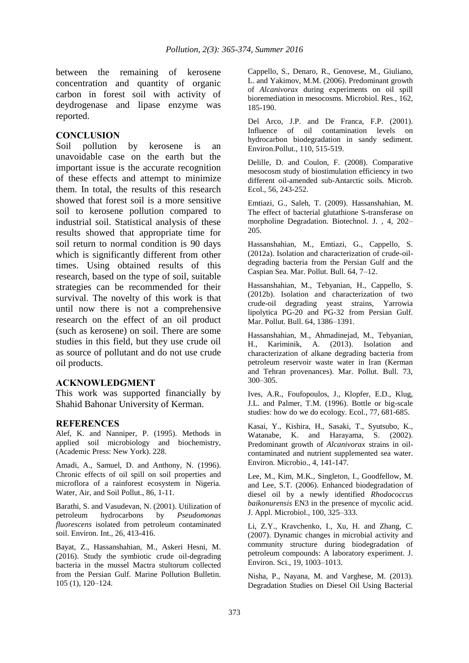between the remaining of kerosene concentration and quantity of organic carbon in forest soil with activity of deydrogenase and lipase enzyme was reported.

## **CONCLUSION**

Soil pollution by kerosene is an unavoidable case on the earth but the important issue is the accurate recognition of these effects and attempt to minimize them. In total, the results of this research showed that forest soil is a more sensitive soil to kerosene pollution compared to industrial soil. Statistical analysis of these results showed that appropriate time for soil return to normal condition is 90 days which is significantly different from other times. Using obtained results of this research, based on the type of soil, suitable strategies can be recommended for their survival. The novelty of this work is that until now there is not a comprehensive research on the effect of an oil product (such as kerosene) on soil. There are some studies in this field, but they use crude oil as source of pollutant and do not use crude oil products.

## **ACKNOWLEDGMENT**

This work was supported financially by Shahid Bahonar University of Kerman.

## **REFERENCES**

Alef, K. and Nanniper, P. (1995). Methods in applied soil microbiology and biochemistry, (Academic Press: New York). 228.

Amadi, A., Samuel, D. and Anthony, N. (1996). Chronic effects of oil spill on soil properties and microflora of a rainforest ecosystem in Nigeria. Water, Air, and Soil Pollut., 86, 1-11.

Barathi, S. and Vasudevan, N. (2001). Utilization of petroleum hydrocarbons by *Pseudomonas fluorescens* isolated from petroleum contaminated soil. Environ. Int., 26, 413-416.

Bayat, Z., Hassanshahian, M., Askeri Hesni, M. (2016). Study the symbiotic crude oil-degrading bacteria in the mussel Mactra stultorum collected from the Persian Gulf. Marine Pollution Bulletin. 105 (1), 120–124.

Cappello, S., Denaro, R., Genovese, M., Giuliano, L. and Yakimov, M.M. (2006). Predominant growth of *Alcanivorax* during experiments on oil spill bioremediation in mesocosms. Microbiol. Res., 162, 185-190.

Del Arco, J.P. and De Franca, F.P. (2001). Influence of oil contamination levels on hydrocarbon biodegradation in sandy sediment. Environ.Pollut., 110, 515-519.

Delille, D. and Coulon, F. (2008). Comparative mesocosm study of biostimulation efficiency in two different oil-amended sub-Antarctic soils. Microb. Ecol., 56, 243-252.

Emtiazi, G., Saleh, T. (2009). Hassanshahian, M. The effect of bacterial glutathione S-transferase on morpholine Degradation. Biotechnol. J. , 4, 202– 205.

Hassanshahian, M., Emtiazi, G., Cappello, S. (2012a). Isolation and characterization of crude-oildegrading bacteria from the Persian Gulf and the Caspian Sea. Mar. Pollut. Bull. 64, 7–12.

Hassanshahian, M., Tebyanian, H., Cappello, S. (2012b). Isolation and characterization of two crude-oil degrading yeast strains, Yarrowia lipolytica PG-20 and PG-32 from Persian Gulf. Mar. Pollut. Bull. 64, 1386–1391.

Hassanshahian, M., Ahmadinejad, M., Tebyanian, H., Kariminik, A. (2013). Isolation and characterization of alkane degrading bacteria from petroleum reservoir waste water in Iran (Kerman and Tehran provenances). Mar. Pollut. Bull. 73, 300–305.

Ives, A.R., Foufopoulos, J., Klopfer, E.D., Klug, J.L. and Palmer, T.M. (1996). Bottle or big-scale studies: how do we do ecology. Ecol., 77, 681-685.

Kasai, Y., Kishira, H., Sasaki, T., Syutsubo, K., Watanabe, K. and Harayama, S. (2002). Predominant growth of *Alcanivorax* strains in oilcontaminated and nutrient supplemented sea water. Environ. Microbio., 4, 141-147.

Lee, M., Kim, M.K., Singleton, I., Goodfellow, M. and Lee, S.T. (2006). Enhanced biodegradation of diesel oil by a newly identified *Rhodococcus baikonurensis* EN3 in the presence of mycolic acid. J. Appl. Microbiol., 100, 325–333.

Li, Z.Y., Kravchenko, I., Xu, H. and Zhang, C. (2007). Dynamic changes in microbial activity and community structure during biodegradation of petroleum compounds: A laboratory experiment. J. Environ. Sci., 19, 1003–1013.

Nisha, P., Nayana, M. and Varghese, M. (2013). Degradation Studies on Diesel Oil Using Bacterial